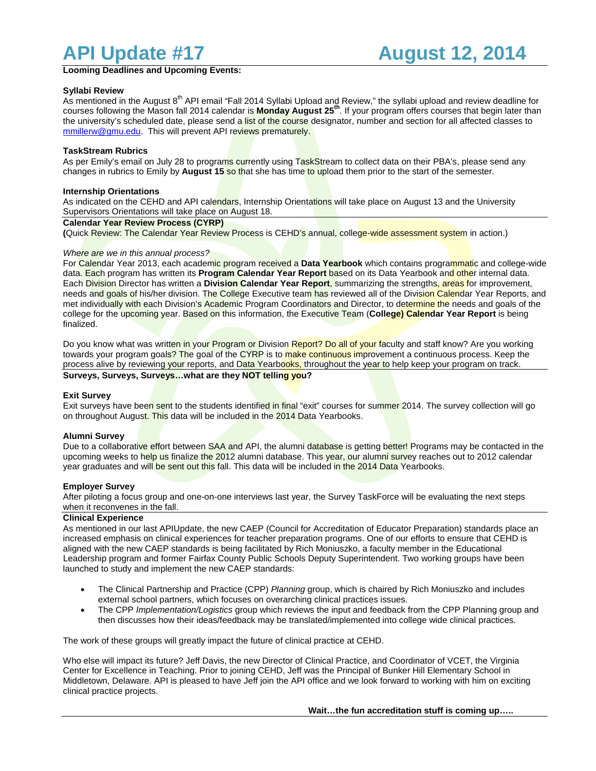**Looming Deadlines and Upcoming Events:**

## **Syllabi Review**

As mentioned in the August 8<sup>th</sup> API email "Fall 2014 Syllabi Upload and Review," the syllabi upload and review deadline for courses following the Mason fall 2014 calendar is **Monday August 25th**. If your program offers courses that begin later than the university's scheduled date, please send a list of the course designator, number and section for all affected classes to [mmillerw@gmu.edu.](mailto:mmillerw@gmu.edu) This will prevent API reviews prematurely.

## **TaskStream Rubrics**

As per Emily's email on July 28 to programs currently using TaskStream to collect data on their PBA's, please send any changes in rubrics to Emily by **August 15** so that she has time to upload them prior to the start of the semester.

## **Internship Orientations**

As indicated on the CEHD and API calendars, Internship Orientations will take place on August 13 and the University Supervisors Orientations will take place on August 18.

#### **Calendar Year Review Process (CYRP)**

**(**Quick Review: The Calendar Year Review Process is CEHD's annual, college-wide assessment system in action.)

#### *Where are we in this annual process?*

For Calendar Year 2013, each academic program received a **Data Yearbook** which contains programmatic and college-wide data. Each program has written its **Program Calendar Year Report** based on its Data Yearbook and other internal data. Each Division Director has written a **Division Calendar Year Report**, summarizing the strengths, areas for improvement, needs and goals of his/her division. The College Executive team has reviewed all of the Division Calendar Year Reports, and met individually with each Division's Academic Program Coordinators and Director, to determine the needs and goals of the college for the upcoming year. Based on this information, the Executive Team (**College) Calendar Year Report** is being finalized.

Do you know what was written in your Program or Division Report? Do all of your faculty and staff know? Are you working towards your program goals? The goal of the CYRP is to make continuous improvement a continuous process. Keep the process alive by reviewing your reports, and Data Yearbooks, throughout the year to help keep your program on track.

# **Surveys, Surveys, Surveys…what are they NOT telling you?**

#### **Exit Survey**

Exit surveys have been sent to the students identified in final "exit" courses for summer 2014. The survey collection will go on throughout August. This data will be included in the 2014 Data Yearbooks.

#### **Alumni Survey**

Due to a collaborative effort between SAA and API, the alumni database is getting better! Programs may be contacted in the upcoming weeks to help us finalize the 2012 alumni database. This year, our alumni survey reaches out to 2012 calendar year graduates and will be sent out this fall. This data will be included in the 2014 Data Yearbooks.

## **Employer Survey**

After piloting a focus group and one-on-one interviews last year, the Survey TaskForce will be evaluating the next steps when it reconvenes in the fall.

## **Clinical Experience**

As mentioned in our last APIUpdate, the new CAEP (Council for Accreditation of Educator Preparation) standards place an increased emphasis on clinical experiences for teacher preparation programs. One of our efforts to ensure that CEHD is aligned with the new CAEP standards is being facilitated by Rich Moniuszko, a faculty member in the Educational Leadership program and former Fairfax County Public Schools Deputy Superintendent. Two working groups have been launched to study and implement the new CAEP standards:

- The Clinical Partnership and Practice (CPP) *Planning* group, which is chaired by Rich Moniuszko and includes external school partners, which focuses on overarching clinical practices issues.
- The CPP *Implementation/Logistics* group which reviews the input and feedback from the CPP Planning group and then discusses how their ideas/feedback may be translated/implemented into college wide clinical practices.

The work of these groups will greatly impact the future of clinical practice at CEHD.

Who else will impact its future? Jeff Davis, the new Director of Clinical Practice, and Coordinator of VCET, the Virginia Center for Excellence in Teaching. Prior to joining CEHD, Jeff was the Principal of Bunker Hill Elementary School in Middletown, Delaware. API is pleased to have Jeff join the API office and we look forward to working with him on exciting clinical practice projects.

**Wait…the fun accreditation stuff is coming up…..**